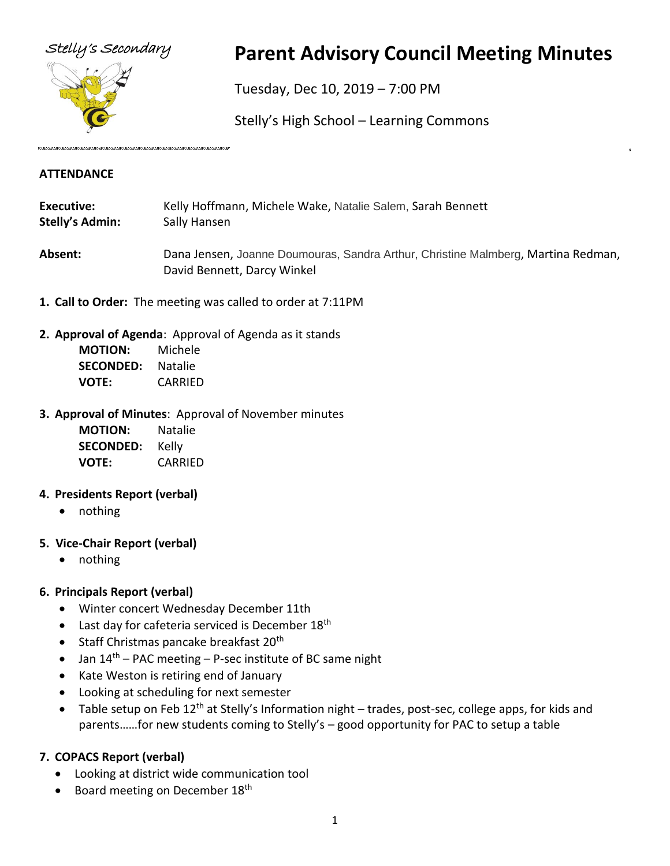

# Stelly's Secondary **Parent Advisory Council Meeting Minutes**

Tuesday, Dec 10, 2019 – 7:00 PM

Stelly's High School – Learning Commons

#### **ATTENDANCE**

- **Executive:** Kelly Hoffmann, Michele Wake, Natalie Salem, Sarah Bennett **Stelly's Admin:** Sally Hansen
- **Absent:** Dana Jensen, Joanne Doumouras, Sandra Arthur, Christine Malmberg, Martina Redman, David Bennett, Darcy Winkel
- **1. Call to Order:** The meeting was called to order at 7:11PM
- **2. Approval of Agenda**: Approval of Agenda as it stands

| <b>MOTION:</b>   | Michele |
|------------------|---------|
| <b>SECONDED:</b> | Natalie |
| VOTE:            | CARRIED |

# **3. Approval of Minutes**: Approval of November minutes

| <b>MOTION:</b>   | Natalie |
|------------------|---------|
| <b>SECONDED:</b> | Kelly   |
| VOTE:            | CARRIED |

# **4. Presidents Report (verbal)**

- nothing
- **5. Vice-Chair Report (verbal)**
	- nothing

# **6. Principals Report (verbal)**

- Winter concert Wednesday December 11th
- Last day for cafeteria serviced is December 18<sup>th</sup>
- Staff Christmas pancake breakfast  $20<sup>th</sup>$
- Jan  $14<sup>th</sup>$  PAC meeting P-sec institute of BC same night
- Kate Weston is retiring end of January
- Looking at scheduling for next semester
- Table setup on Feb 12<sup>th</sup> at Stelly's Information night trades, post-sec, college apps, for kids and parents……for new students coming to Stelly's – good opportunity for PAC to setup a table

# **7. COPACS Report (verbal)**

- Looking at district wide communication tool
- Board meeting on December 18<sup>th</sup>